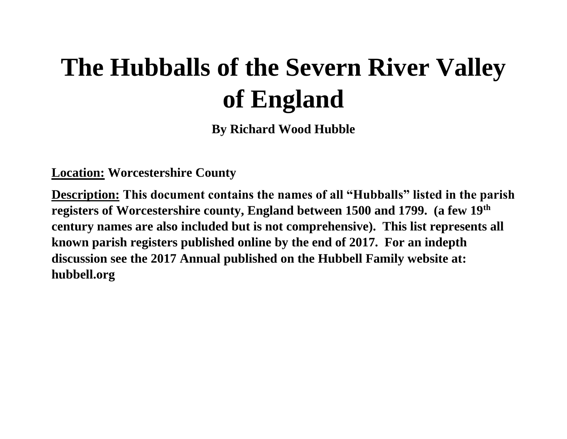# **The Hubballs of the Severn River Valley of England**

**By Richard Wood Hubble**

**Location: Worcestershire County**

**Description: This document contains the names of all "Hubballs" listed in the parish registers of Worcestershire county, England between 1500 and 1799. (a few 19th century names are also included but is not comprehensive). This list represents all known parish registers published online by the end of 2017. For an indepth discussion see the 2017 Annual published on the Hubbell Family website at: hubbell.org**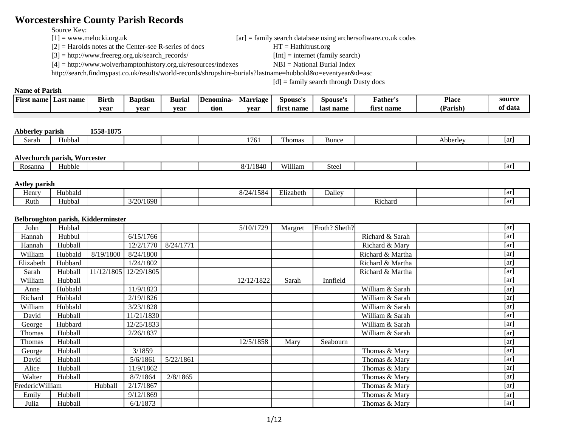# **Worcestershire County Parish Records**

Source Key:<br> $[1]$  = www.melocki.org.uk

 $[2]$  = Harolds notes at the Center-see R-series of docs HT = Hathitrust.org

[3] = http://www.freereg.org.uk/search\_records/ [Int] = internet (family search)

[4] = http://www.wolverhamptonhistory.org.uk/resources/indexes NBI = National Burial Index

http://search.findmypast.co.uk/results/world-records/shropshire-burials?lastname=hubbold&o=eventyear&d=asc

[d] = family search through Dusty docs

 $[ar]$  = family search database using archersoftware.co.uk codes

# **Name of Parish**

| . .<br>name<br>name<br>Fırst<br>Las' | $\mathbf{r}$<br>Birth | $\overline{\phantom{a}}$<br><b>Baptism</b> | Burial | Denomina- | Marriage | spouse'        | Spouse's  | Father'.   | <b>Place</b> | source     |
|--------------------------------------|-----------------------|--------------------------------------------|--------|-----------|----------|----------------|-----------|------------|--------------|------------|
|                                      | vear                  | vear                                       | vear   | tıon      | vear     | `name<br>tırst | last name | first name | (Parish)     | data<br>Оt |

#### **Abberley parish 1558-1875**

| $         -$ | ----------- | . |  |                |         |       |          |    |
|--------------|-------------|---|--|----------------|---------|-------|----------|----|
| Sarah        | Hubbal      |   |  | .<br>76.<br>., | I homas | Bunce | Abberley | ar |
|              |             |   |  |                |         |       |          |    |

#### **Alvechurch parish, Worcester**

| <b>200</b><br>Rosanna | Hubble |  |  | 1 L<br>$\sim$ | $-7.11$<br>ш<br>ιm | ⊾ ta<br>ou. |  | .<br>на |
|-----------------------|--------|--|--|---------------|--------------------|-------------|--|---------|
|                       |        |  |  |               |                    |             |  |         |

#### **Astley parish**

| <b>Henry</b> | .<br>$-$<br>Hubbald |           |  | 11EQ<br>$\Omega$<br>O/4<br>$-111$ | $\sim$<br>±lızabeth | Dalley |         | ar' |
|--------------|---------------------|-----------|--|-----------------------------------|---------------------|--------|---------|-----|
| Ruth         | Hubbal              | 3/20/1698 |  |                                   |                     |        | Richard | ar' |

#### **Belbroughton parish, Kidderminster**

| John            | Hubbal  |            |            |           | 5/10/1729  | Margret | Froth? Sheth? |                  | $\lceil ar \rceil$ |
|-----------------|---------|------------|------------|-----------|------------|---------|---------------|------------------|--------------------|
| Hannah          | Hubbul  |            | 6/15/1766  |           |            |         |               | Richard & Sarah  | [ar]               |
| Hannah          | Hubball |            | 12/2/1770  | 8/24/1771 |            |         |               | Richard & Mary   | [ar]               |
| William         | Hubbald | 8/19/1800  | 8/24/1800  |           |            |         |               | Richard & Martha | [ar]               |
| Elizabeth       | Hubbard |            | 1/24/1802  |           |            |         |               | Richard & Martha | [ar]               |
| Sarah           | Hubball | 11/12/1805 | 12/29/1805 |           |            |         |               | Richard & Martha | [ar]               |
| William         | Hubball |            |            |           | 12/12/1822 | Sarah   | Innfield      |                  | [ar]               |
| Anne            | Hubbald |            | 11/9/1823  |           |            |         |               | William & Sarah  | [ar]               |
| Richard         | Hubbald |            | 2/19/1826  |           |            |         |               | William & Sarah  | [ar]               |
| William         | Hubbald |            | 3/23/1828  |           |            |         |               | William & Sarah  | $\lceil ar \rceil$ |
| David           | Hubball |            | 11/21/1830 |           |            |         |               | William & Sarah  | [ar]               |
| George          | Hubbard |            | 12/25/1833 |           |            |         |               | William & Sarah  | [ar]               |
| Thomas          | Hubball |            | 2/26/1837  |           |            |         |               | William & Sarah  | [ar]               |
| Thomas          | Hubball |            |            |           | 12/5/1858  | Mary    | Seabourn      |                  | [ar]               |
| George          | Hubball |            | 3/1859     |           |            |         |               | Thomas & Mary    | [ar]               |
| David           | Hubball |            | 5/6/1861   | 5/22/1861 |            |         |               | Thomas & Mary    | [ar]               |
| Alice           | Hubball |            | 11/9/1862  |           |            |         |               | Thomas & Mary    | [ar]               |
| Walter          | Hubball |            | 8/7/1864   | 2/8/1865  |            |         |               | Thomas & Mary    | [ar]               |
| FredericWilliam |         | Hubball    | 2/17/1867  |           |            |         |               | Thomas & Mary    | [ar]               |
| Emily           | Hubbell |            | 9/12/1869  |           |            |         |               | Thomas & Mary    | [ar]               |
| Julia           | Hubball |            | 6/1/1873   |           |            |         |               | Thomas & Mary    | [ar]               |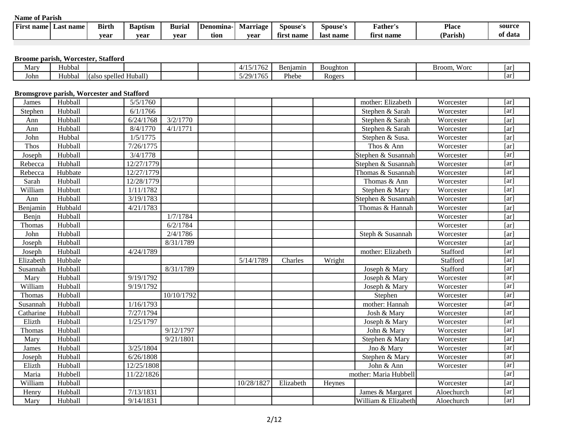| --<br>First name | Last name | <b>Birth</b> | <b>Baptism</b> | <b>Buria</b> | <b>Denomina</b> | rıage<br>Mai | Spouse's    | Spouse's  | r'ather'        | <b>Place</b> | source  |
|------------------|-----------|--------------|----------------|--------------|-----------------|--------------|-------------|-----------|-----------------|--------------|---------|
|                  |           | vear         | vear           | vear         | tion            | vear         | name<br>tır | last name | t name<br>tırs. | (Parish)     | of data |

# **Broome parish, Worcester, Stafford**

| Mary | Hubbal |                                                           |  | 1471772<br>762<br>$\cdot$ | Benjamin | Boughton    | $- -$<br>w orc<br>Broom, | 1ar |
|------|--------|-----------------------------------------------------------|--|---------------------------|----------|-------------|--------------------------|-----|
| John | Hubbal | . <del>.</del> .<br>Huball <sup>\</sup><br>lalso spelled. |  | /29/1765                  | Phebe    | –<br>Rogers |                          | 1ar |

### **Bromsgrove parish, Worcester and Stafford**

| James     | Hubball | 5/5/1760   |            |            |           |        | mother: Elizabeth     | Worcester  | [ar]              |
|-----------|---------|------------|------------|------------|-----------|--------|-----------------------|------------|-------------------|
| Stephen   | Hubball | 6/1/1766   |            |            |           |        | Stephen & Sarah       | Worcester  | [ar]              |
| Ann       | Hubball | 6/24/1768  | 3/2/1770   |            |           |        | Stephen & Sarah       | Worcester  | [ar]              |
| Ann       | Hubball | 8/4/1770   | 4/1/1771   |            |           |        | Stephen & Sarah       | Worcester  | [ar]              |
| John      | Hubbal  | 1/5/1775   |            |            |           |        | Stephen & Susa.       | Worcester  | [ar]              |
| Thos      | Hubball | 7/26/1775  |            |            |           |        | Thos & Ann            | Worcester  | [ar]              |
| Joseph    | Hubball | 3/4/1778   |            |            |           |        | Stephen & Susannah    | Worcester  | [ar]              |
| Rebecca   | Hubhall | 12/27/1779 |            |            |           |        | Stephen & Susannah    | Worcester  | [ar]              |
| Rebecca   | Hubbate | 12/27/1779 |            |            |           |        | Thomas & Susannah     | Worcester  | [ar]              |
| Sarah     | Hubball | 12/28/1779 |            |            |           |        | Thomas & Ann          | Worcester  | [ar]              |
| William   | Hubbutt | 1/11/1782  |            |            |           |        | Stephen & Mary        | Worcester  | [ar]              |
| Ann       | Hubball | 3/19/1783  |            |            |           |        | Stephen & Susannah    | Worcester  | $\overline{[ar]}$ |
| Benjamin  | Hubbald | 4/21/1783  |            |            |           |        | Thomas & Hannah       | Worcester  | [ar]              |
| Benjn     | Hubball |            | 1/7/1784   |            |           |        |                       | Worcester  | [ar]              |
| Thomas    | Hubball |            | 6/2/1784   |            |           |        |                       | Worcester  | [ar]              |
| John      | Hubball |            | 2/4/1786   |            |           |        | Steph & Susannah      | Worcester  | [ar]              |
| Joseph    | Hubball |            | 8/31/1789  |            |           |        |                       | Worcester  | [ar]              |
| Joseph    | Hubball | 4/24/1789  |            |            |           |        | mother: Elizabeth     | Stafford   | [ar]              |
| Elizabeth | Hubbale |            |            | 5/14/1789  | Charles   | Wright |                       | Stafford   | [ar]              |
| Susannah  | Hubball |            | 8/31/1789  |            |           |        | Joseph & Mary         | Stafford   | [ar]              |
| Mary      | Hubball | 9/19/1792  |            |            |           |        | Joseph & Mary         | Worcester  | [ar]              |
| William   | Hubball | 9/19/1792  |            |            |           |        | Joseph & Mary         | Worcester  | [ar]              |
| Thomas    | Hubball |            | 10/10/1792 |            |           |        | Stephen               | Worcester  | [ar]              |
| Susannah  | Hubball | 1/16/1793  |            |            |           |        | mother: Hannah        | Worcester  | [ar]              |
| Catharine | Hubball | 7/27/1794  |            |            |           |        | Josh & Mary           | Worcester  | [ar]              |
| Elizth    | Hubball | 1/25/1797  |            |            |           |        | Joseph & Mary         | Worcester  | [ar]              |
| Thomas    | Hubball |            | 9/12/1797  |            |           |        | John & Mary           | Worcester  | [ar]              |
| Mary      | Hubball |            | 9/21/1801  |            |           |        | Stephen & Mary        | Worcester  | [ar]              |
| James     | Hubball | 3/25/1804  |            |            |           |        | Jno & Mary            | Worcester  | [ar]              |
| Joseph    | Hubball | 6/26/1808  |            |            |           |        | Stephen & Mary        | Worcester  | [ar]              |
| Elizth    | Hubball | 12/25/1808 |            |            |           |        | John & Ann            | Worcester  | [ar]              |
| Maria     | Hubbell | 11/22/1826 |            |            |           |        | mother: Maria Hubbell |            | [ar]              |
| William   | Hubball |            |            | 10/28/1827 | Elizabeth | Heynes |                       | Worcester  | [ar]              |
| Henry     | Hubball | 7/13/1831  |            |            |           |        | James & Margaret      | Aloechurch | [ar]              |
| Mary      | Hubball | 9/14/1831  |            |            |           |        | William & Elizabeth   | Aloechurch | [ar]              |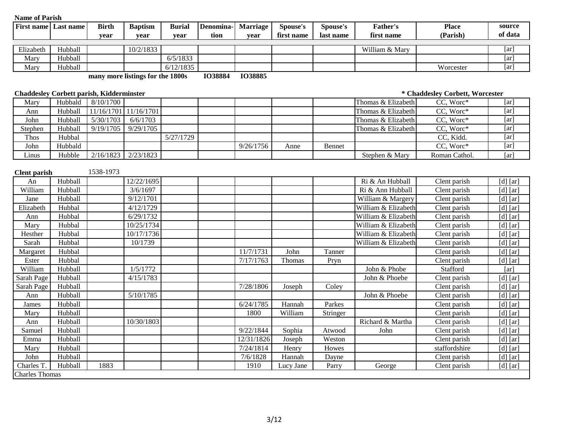| <b>First name</b> Last name |         | <b>Birth</b>                                    | <b>Baptism</b>                   | <b>Burial</b> | Denomina-      | <b>Marriage</b> | Spouse's   | Spouse's  | <b>Father's</b>     | <b>Place</b>                    | source                |
|-----------------------------|---------|-------------------------------------------------|----------------------------------|---------------|----------------|-----------------|------------|-----------|---------------------|---------------------------------|-----------------------|
|                             |         | vear                                            | year                             | vear          | tion           | vear            | first name | last name | first name          | (Parish)                        | of data               |
| Elizabeth                   | Hubball |                                                 | 10/2/1833                        |               |                |                 |            |           | William & Mary      |                                 | [ar]                  |
| Mary                        | Hubball |                                                 |                                  | 6/5/1833      |                |                 |            |           |                     |                                 | [ar]                  |
| Mary                        | Hubball |                                                 |                                  | 6/12/1835     |                |                 |            |           |                     | Worcester                       | [ar]                  |
|                             |         |                                                 | many more listings for the 1800s |               | <b>IO38884</b> | <b>IO38885</b>  |            |           |                     |                                 |                       |
|                             |         | <b>Chaddesley Corbett parish, Kidderminster</b> |                                  |               |                |                 |            |           |                     | * Chaddesley Corbett, Worcester |                       |
| Mary                        | Hubbald | 8/10/1700                                       |                                  |               |                |                 |            |           | Thomas & Elizabeth  | CC, Worc*                       | [ar]                  |
| Ann                         | Hubball |                                                 | 11/16/1701 11/16/1701            |               |                |                 |            |           | Thomas & Elizabeth  | CC, Wore*                       | [ar]                  |
| John                        | Hubball | 5/30/1703                                       | 6/6/1703                         |               |                |                 |            |           | Thomas & Elizabeth  | CC, Worc*                       | [ar]                  |
| Stephen                     | Hubball | 9/19/1705                                       | 9/29/1705                        |               |                |                 |            |           | Thomas & Elizabeth  | CC, Worc*                       | $\overline{[ar]}$     |
| Thos                        | Hubbal  |                                                 |                                  | 5/27/1729     |                |                 |            |           |                     | CC, Kidd.                       | [ar]                  |
| John                        | Hubbald |                                                 |                                  |               |                | 9/26/1756       | Anne       | Bennet    |                     | CC, Worc*                       | $\overline{[ar]}$     |
| Linus                       | Hubble  | 2/16/1823                                       | 2/23/1823                        |               |                |                 |            |           | Stephen & Mary      | Roman Cathol.                   | [ar]                  |
| <b>Clent</b> parish         |         | 1538-1973                                       |                                  |               |                |                 |            |           |                     |                                 |                       |
| An                          | Hubball |                                                 | 12/22/1695                       |               |                |                 |            |           | Ri & An Hubball     | Clent parish                    | $[d]$ [ar]            |
| William                     | Hubball |                                                 | 3/6/1697                         |               |                |                 |            |           | Ri & Ann Hubball    | Clent parish                    | $\overline{[d]}$ [ar] |
| Jane                        | Hubball |                                                 | 9/12/1701                        |               |                |                 |            |           | William & Margery   | Clent parish                    | $[d]$ [ar]            |
| Elizabeth                   | Hubbal  |                                                 | 4/12/1729                        |               |                |                 |            |           | William & Elizabeth | Clent parish                    | $[d]$ [ar]            |
| Ann                         | Hubbal  |                                                 | $\sqrt{6}/29/1732$               |               |                |                 |            |           | William & Elizabeth | Clent parish                    | $[d]$ [ar]            |
| Mary                        | Hubbal  |                                                 | 10/25/1734                       |               |                |                 |            |           | William & Elizabeth | Clent parish                    | $[d]$ [ar]            |
| Hesther                     | Hubbal  |                                                 | 10/17/1736                       |               |                |                 |            |           | William & Elizabeth | Clent parish                    | $[d]$ [ar]            |
| Sarah                       | Hubbal  |                                                 | 10/1739                          |               |                |                 |            |           | William & Elizabeth | Clent parish                    | $[d]$ [ar]            |
| Margaret                    | Hubbal  |                                                 |                                  |               |                | 11/7/1731       | John       | Tanner    |                     | Clent parish                    | $[d]$ [ar]            |
| Ester                       | Hubbal  |                                                 |                                  |               |                | 7/17/1763       | Thomas     | Pryn      |                     | Clent parish                    | $[d]$ [ar]            |
| William                     | Hubball |                                                 | 1/5/1772                         |               |                |                 |            |           | John & Phobe        | Stafford                        | [ar]                  |
| Sarah Page                  | Hubball |                                                 | 4/15/1783                        |               |                |                 |            |           | John & Phoebe       | Clent parish                    | $[d]$ [ar]            |
| Sarah Page                  | Hubball |                                                 |                                  |               |                | 7/28/1806       | Joseph     | Coley     |                     | Clent parish                    | $[d]$ [ar]            |
| Ann                         | Hubball |                                                 | 5/10/1785                        |               |                |                 |            |           | John & Phoebe       | Clent parish                    | $[d]$ [ar]            |
| James                       | Hubball |                                                 |                                  |               |                | 6/24/1785       | Hannah     | Parkes    |                     | Clent parish                    | $[d]$ [ar]            |
| Mary                        | Hubball |                                                 |                                  |               |                | 1800            | William    | Stringer  |                     | Clent parish                    | $[d]$ [ar]            |
| Ann                         | Hubball |                                                 | 10/30/1803                       |               |                |                 |            |           | Richard & Martha    | Clent parish                    | $[d]$ [ar]            |
| Samuel                      | Hubball |                                                 |                                  |               |                | 9/22/1844       | Sophia     | Atwood    | John                | Clent parish                    | $[d]$ [ar]            |
| Emma                        | Hubball |                                                 |                                  |               |                | 12/31/1826      | Joseph     | Weston    |                     | Clent parish                    | $[d]$ [ar]            |
| Mary                        | Hubball |                                                 |                                  |               |                | 7/24/1814       | Henry      | Howes     |                     | staffordshire                   | $[d]$ [ar]            |
| John                        | Hubball |                                                 |                                  |               |                | 7/6/1828        | Hannah     | Dayne     |                     | Clent parish                    | $[d]$ [ar]            |
| Charles T.                  | Hubball | 1883                                            |                                  |               |                | 1910            | Lucy Jane  | Parry     | George              | Clent parish                    | $[d]$ [ar]            |
| <b>Charles Thomas</b>       |         |                                                 |                                  |               |                |                 |            |           |                     |                                 |                       |

# 3/12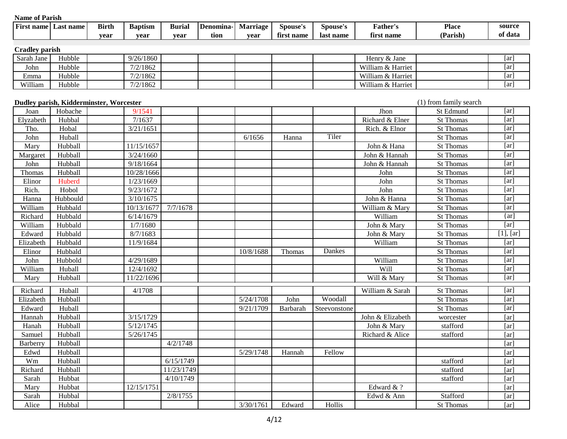| <b>Name of Parish</b> |                                         |              |                |               |           |                 |                 |                 |                   |                        |                    |
|-----------------------|-----------------------------------------|--------------|----------------|---------------|-----------|-----------------|-----------------|-----------------|-------------------|------------------------|--------------------|
| <b>First name</b>     | Last name                               | <b>Birth</b> | <b>Baptism</b> | <b>Burial</b> | Denomina- | <b>Marriage</b> | Spouse's        | <b>Spouse's</b> | Father's          | <b>Place</b>           | source             |
|                       |                                         | year         | year           | year          | tion      | year            | first name      | last name       | first name        | (Parish)               | of data            |
|                       |                                         |              |                |               |           |                 |                 |                 |                   |                        |                    |
| <b>Cradley parish</b> |                                         |              |                |               |           |                 |                 |                 |                   |                        |                    |
| Sarah Jane            | Hubble                                  |              | 9/26/1860      |               |           |                 |                 |                 | Henry & Jane      |                        | [ar]               |
| John                  | Hubble                                  |              | 7/2/1862       |               |           |                 |                 |                 | William & Harriet |                        | [ar]               |
| Emma                  | Hubble                                  |              | 7/2/1862       |               |           |                 |                 |                 | William & Harriet |                        | [ar]               |
| William               | Hubble                                  |              | 7/2/1862       |               |           |                 |                 |                 | William & Harriet |                        | [ar]               |
|                       | Dudley parish, Kidderminster, Worcester |              |                |               |           |                 |                 |                 |                   | (1) from family search |                    |
| Joan                  | Hobache                                 |              | 9/1541         |               |           |                 |                 |                 | Jhon              | St Edmund              | [ar]               |
| Elyzabeth             | Hubbal                                  |              | 7/1637         |               |           |                 |                 |                 | Richard & Elner   | St Thomas              | $\lceil ar \rceil$ |
| Tho.                  | Hobal                                   |              | 3/21/1651      |               |           |                 |                 |                 | Rich. & Elnor     | St Thomas              | $\lceil ar \rceil$ |
| John                  | Huball                                  |              |                |               |           | 6/1656          | Hanna           | Tiler           |                   | St Thomas              | [ar]               |
| Mary                  | Hubball                                 |              | 11/15/1657     |               |           |                 |                 |                 | John & Hana       | <b>St Thomas</b>       | [ar]               |
| Margaret              | Hubball                                 |              | 3/24/1660      |               |           |                 |                 |                 | John & Hannah     | <b>St Thomas</b>       | [ar]               |
| John                  | Hubball                                 |              | 9/18/1664      |               |           |                 |                 |                 | John & Hannah     | <b>St Thomas</b>       | [ar]               |
| Thomas                | Hubball                                 |              | 10/28/1666     |               |           |                 |                 |                 | John              | <b>St Thomas</b>       | [ar]               |
| Elinor                | Huberd                                  |              | 1/23/1669      |               |           |                 |                 |                 | John              | <b>St Thomas</b>       | [ar]               |
| Rich.                 | Hobol                                   |              | 9/23/1672      |               |           |                 |                 |                 | John              | <b>St Thomas</b>       | [ar]               |
| Hanna                 | Hubbould                                |              | 3/10/1675      |               |           |                 |                 |                 | John & Hanna      | <b>St Thomas</b>       | [ar]               |
| William               | Hubbald                                 |              | 10/13/1677     | 7/7/1678      |           |                 |                 |                 | William & Mary    | St Thomas              | [ar]               |
| Richard               | Hubbald                                 |              | 6/14/1679      |               |           |                 |                 |                 | William           | St Thomas              | $\{ar\}$           |
| William               | Hubbald                                 |              | 1/7/1680       |               |           |                 |                 |                 | John & Mary       | St Thomas              | [ar]               |
| Edward                | Hubbald                                 |              | 8/7/1683       |               |           |                 |                 |                 | John & Mary       | <b>St Thomas</b>       | $[1]$ , $[ar]$     |
| Elizabeth             | Hubbald                                 |              | 11/9/1684      |               |           |                 |                 |                 | William           | <b>St Thomas</b>       | [ar]               |
| Elinor                | Hubbald                                 |              |                |               |           | 10/8/1688       | Thomas          | Dankes          |                   | <b>St Thomas</b>       | [ar]               |
| John                  | Hubbold                                 |              | 4/29/1689      |               |           |                 |                 |                 | William           | <b>St Thomas</b>       | [ar]               |
| William               | Huball                                  |              | 12/4/1692      |               |           |                 |                 |                 | Will              | St Thomas              | [ar]               |
| Mary                  | Hubball                                 |              | 11/22/1696     |               |           |                 |                 |                 | Will & Mary       | St Thomas              | [ar]               |
| Richard               | Huball                                  |              | 4/1708         |               |           |                 |                 |                 | William & Sarah   | <b>St Thomas</b>       | [ar]               |
| Elizabeth             | Hubball                                 |              |                |               |           | 5/24/1708       | John            | Woodall         |                   | <b>St Thomas</b>       | [ar]               |
| Edward                | Huball                                  |              |                |               |           | 9/21/1709       | <b>Barbarah</b> | Steevonstone    |                   | <b>St Thomas</b>       | [ar]               |
| Hannah                | Hubball                                 |              | 3/15/1729      |               |           |                 |                 |                 | John & Elizabeth  | worcester              | $\lceil ar \rceil$ |
| Hanah                 | Hubball                                 |              | 5/12/1745      |               |           |                 |                 |                 | John & Mary       | stafford               | [ar]               |
| Samuel                | Hubball                                 |              | 5/26/1745      |               |           |                 |                 |                 | Richard & Alice   | stafford               | [ar]               |
| Barberry              | Hubball                                 |              |                | 4/2/1748      |           |                 |                 |                 |                   |                        | [ar]               |
| Edwd                  | Hubball                                 |              |                |               |           | 5/29/1748       | Hannah          | Fellow          |                   |                        | [ar]               |
| Wm                    | Hubball                                 |              |                | 6/15/1749     |           |                 |                 |                 |                   | stafford               | [ar]               |
| Richard               | Hubball                                 |              |                | 11/23/1749    |           |                 |                 |                 |                   | stafford               | [ar]               |
| Sarah                 | Hubbat                                  |              |                | 4/10/1749     |           |                 |                 |                 |                   | stafford               | [ar]               |
| Mary                  | Hubbat                                  |              | 12/15/1751     |               |           |                 |                 |                 | Edward & ?        |                        | [ar]               |
| Sarah                 | Hubbal                                  |              |                | 2/8/1755      |           |                 |                 |                 | Edwd & Ann        | Stafford               | [ar]               |
| Alice                 | Hubbal                                  |              |                |               |           | 3/30/1761       | Edward          | Hollis          |                   | St Thomas              | [ar]               |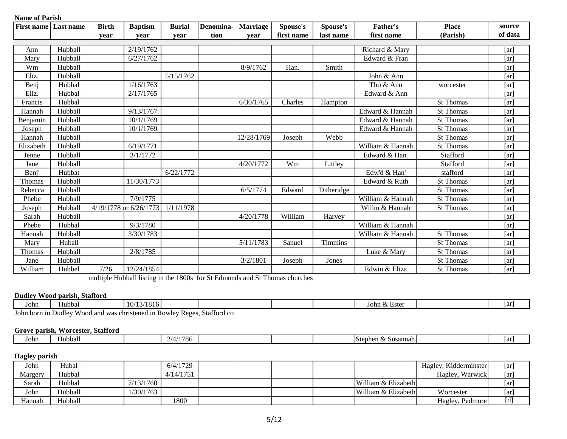| <b>Name of Parish</b> |           |              |                        |               |           |                 |            |                |                  |                  |                    |
|-----------------------|-----------|--------------|------------------------|---------------|-----------|-----------------|------------|----------------|------------------|------------------|--------------------|
| <b>First name</b>     | Last name | <b>Birth</b> | <b>Baptism</b>         | <b>Burial</b> | Denomina- | <b>Marriage</b> | Spouse's   | Spouse's       | <b>Father's</b>  | <b>Place</b>     | source             |
|                       |           | year         | year                   | year          | tion      | year            | first name | last name      | first name       | (Parish)         | of data            |
|                       |           |              |                        |               |           |                 |            |                |                  |                  |                    |
| Ann                   | Hubball   |              | 2/19/1762              |               |           |                 |            |                | Richard & Mary   |                  | $\lceil ar \rceil$ |
| Mary                  | Hubball   |              | 6/27/1762              |               |           |                 |            |                | Edward & Fran    |                  | $\lceil ar \rceil$ |
| Wm                    | Hubball   |              |                        |               |           | 8/9/1762        | Han.       | Smith          |                  |                  | [ar]               |
| Eliz.                 | Hubball   |              |                        | 5/15/1762     |           |                 |            |                | John & Ann       |                  | [ar]               |
| Benj                  | Hubbal    |              | 1/16/1763              |               |           |                 |            |                | Tho & Ann        | worcester        | [ar]               |
| Eliz.                 | Hubbal    |              | 2/17/1765              |               |           |                 |            |                | Edward & Ann     |                  | [ar]               |
| Francis               | Hubbal    |              |                        |               |           | 6/30/1765       | Charles    | Hampton        |                  | St Thomas        | [ar]               |
| Hannah                | Hubball   |              | 9/13/1767              |               |           |                 |            |                | Edward & Hannah  | <b>St Thomas</b> | [ar]               |
| Benjamin              | Hubball   |              | 10/1/1769              |               |           |                 |            |                | Edward & Hannah  | <b>St Thomas</b> | [ar]               |
| Joseph                | Hubball   |              | 10/1/1769              |               |           |                 |            |                | Edward & Hannah  | <b>St Thomas</b> | [ar]               |
| Hannah                | Hubball   |              |                        |               |           | 12/28/1769      | Joseph     | Webb           |                  | <b>St Thomas</b> | [ar]               |
| Elizabeth             | Hubball   |              | 6/19/1771              |               |           |                 |            |                | William & Hannah | <b>St Thomas</b> | [ar]               |
| Jenne                 | Hubball   |              | 3/1/1772               |               |           |                 |            |                | Edward & Han.    | Stafford         | [ar]               |
| Jane                  | Hubball   |              |                        |               |           | 4/20/1772       | Wm         | Littley        |                  | Stafford         | [ar]               |
| Benj'                 | Hubbat    |              |                        | 6/22/1772     |           |                 |            |                | Edw'd & Han'     | stafford         | [ar]               |
| Thomas                | Hubball   |              | 11/30/1773             |               |           |                 |            |                | Edward & Ruth    | <b>St Thomas</b> | $\lceil ar \rceil$ |
| Rebecca               | Hubball   |              |                        |               |           | 6/5/1774        | Edward     | Ditheridge     |                  | <b>St Thomas</b> | [ar]               |
| Phebe                 | Hubball   |              | 7/9/1775               |               |           |                 |            |                | William & Hannah | <b>St Thomas</b> | [ar]               |
| Joseph                | Hubball   |              | 4/19/1778 or 6/26/1773 | 1/11/1978     |           |                 |            |                | Willm & Hannah   | <b>St Thomas</b> | [ar]               |
| Sarah                 | Hubball   |              |                        |               |           | 4/20/1778       | William    | Harvey         |                  |                  | [ar]               |
| Phebe                 | Hubbal    |              | 9/3/1780               |               |           |                 |            |                | William & Hannah |                  | [ar]               |
| Hannah                | Hubball   |              | 3/30/1783              |               |           |                 |            |                | William & Hannah | <b>St Thomas</b> | [ar]               |
| Mary                  | Huball    |              |                        |               |           | 5/11/1783       | Sanuel     | <b>Timmins</b> |                  | <b>St Thomas</b> | [ar]               |
| Thomas                | Hubball   |              | 2/8/1785               |               |           |                 |            |                | Luke & Mary      | <b>St Thomas</b> | [ar]               |
| Jane                  | Hubball   |              |                        |               |           | 3/2/1801        | Joseph     | Jones          |                  | <b>St Thomas</b> | [ar]               |
| William               | Hubbel    | 7/26         | 12/24/1854             |               |           |                 |            |                | Edwin & Eliza    | <b>St Thomas</b> | [ar]               |

multiple Hubball listing in the 1800s for St Edmunds and St Thomas churches

#### **Dudley Wood parish, Stafford**

| John     | $- -$<br>Hubbal | 112<br>$\Omega$<br>$\mathbf{U}$<br>$\sim$<br>.<br>. . |        |  | n & Ester<br>്ഥ<br>,,,,, | Tar |
|----------|-----------------|-------------------------------------------------------|--------|--|--------------------------|-----|
| $\sim$ . | <b>YY</b>       |                                                       | $^{c}$ |  |                          |     |

John born in Dudley Wood and was christened in Rowley Reges, Stafford co

### **Grove parish, Worcester, Stafford**

| John | .<br>Hubball |  | 786<br>$\sqrt{2}$ |  |  | ∴& Susannah I<br>Stephe. | -на |
|------|--------------|--|-------------------|--|--|--------------------------|-----|
|      |              |  |                   |  |  |                          |     |

# **Hagley parish**

| John    | Hubal   |           | 6/4/1729  |  |  |                     | Hagley, Kidderminster | [ar]    |
|---------|---------|-----------|-----------|--|--|---------------------|-----------------------|---------|
| Margery | Hubbal  |           | 4/14/1751 |  |  |                     | Hagley, Warwick       | [ar]    |
| Sarah   | Hubbal  | 7/13/1760 |           |  |  | William & Elizabeth |                       | [ar]    |
| John    | Hubball | 1/30/1763 |           |  |  | William & Elizabeth | Worcester             | $ ar_1$ |
| 'Hannah | Hubball |           | 1800      |  |  |                     | Hagley, Pedmore       | [d]     |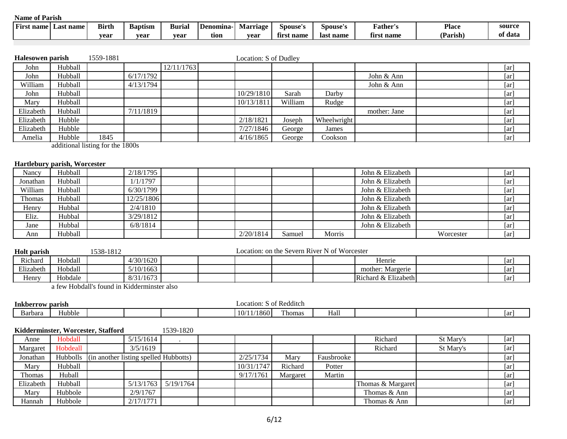| $\mathbf{r}$<br>First name | Last name | <b>Birth</b> | Baptism | -<br>Burial | l Denomina | Marrıage | Spouse's           | Spouse's  | .'ather'     | <b>Place</b> | source  |
|----------------------------|-----------|--------------|---------|-------------|------------|----------|--------------------|-----------|--------------|--------------|---------|
|                            |           | vear         | vear    | vear        | tion       | vear     | -as<br>name<br>tır | last name | name<br>tırs | Parish       | of data |

| Halesowen parish |         | 1559-1881                        |           |            | Location: S of Dudley |         |             |              |      |
|------------------|---------|----------------------------------|-----------|------------|-----------------------|---------|-------------|--------------|------|
| John             | Hubball |                                  |           | 12/11/1763 |                       |         |             |              | [ar] |
| John             | Hubball |                                  | 6/17/1792 |            |                       |         |             | John & Ann   | [ar] |
| William          | Hubball |                                  | 4/13/1794 |            |                       |         |             | John & Ann   | [ar] |
| John             | Hubball |                                  |           |            | 10/29/1810            | Sarah   | Darby       |              | [ar] |
| Mary             | Hubball |                                  |           |            | 10/13/1811            | William | Rudge       |              | [ar] |
| Elizabeth        | Hubball |                                  | 7/11/1819 |            |                       |         |             | mother: Jane | [ar] |
| Elizabeth        | Hubble  |                                  |           |            | 2/18/1821             | Joseph  | Wheelwright |              | [ar] |
| Elizabeth        | Hubble  |                                  |           |            | 7/27/1846             | George  | James       |              | [ar] |
| Amelia           | Hubble  | 1845                             |           |            | 4/16/1865             | George  | Cookson     |              | [ar] |
|                  |         | additional listing for the 1900s |           |            |                       |         |             |              |      |

additional listing for the 1800s

#### **Hartlebury parish, Worcester**

| Nancy    | Hubball | 2/18/1795  |  |           |        |        | John & Elizabeth |           | $\lceil ar \rceil$ |
|----------|---------|------------|--|-----------|--------|--------|------------------|-----------|--------------------|
| Jonathan | Hubball | 1/1/1797   |  |           |        |        | John & Elizabeth |           | [ar]               |
| William  | Hubball | 6/30/1799  |  |           |        |        | John & Elizabeth |           | [ar]               |
| Thomas   | Hubball | 12/25/1806 |  |           |        |        | John & Elizabeth |           | $\lceil ar \rceil$ |
| Henry    | Hubbal  | 2/4/1810   |  |           |        |        | John & Elizabeth |           | [ar]               |
| Eliz.    | Hubbal  | 3/29/1812  |  |           |        |        | John & Elizabeth |           | [ar]               |
| Jane     | Hubbal  | 6/8/1814   |  |           |        |        | John & Elizabeth |           | [ar]               |
| Ann      | Hubball |            |  | 2/20/1814 | Samuel | Morris |                  | Worcester | [ar]               |

| <b>Holt</b> parish |         | 538-1812 |           | Location: on the Severn River N of Worcester |  |  |  |                     |  |    |
|--------------------|---------|----------|-----------|----------------------------------------------|--|--|--|---------------------|--|----|
| Richard            | Hobdall |          | 4/30/1620 |                                              |  |  |  | Henrie              |  | ar |
| Elizabeth          | Hobdall |          | 5/10/1663 |                                              |  |  |  | mother: Margerie    |  | ar |
| Henry              | Hobdale |          | 8/31/1673 |                                              |  |  |  | Richard & Elizabeth |  | ar |

a few Hobdall's found in Kidderminster also

| $ -$                                |        |  |  |  |  | : Redditch                                  |              |     |  |  |     |
|-------------------------------------|--------|--|--|--|--|---------------------------------------------|--------------|-----|--|--|-----|
| Inkberrow parish                    |        |  |  |  |  | Location: S of                              |              |     |  |  |     |
| $\overline{\phantom{a}}$<br>Barbara | Hubble |  |  |  |  | 1860<br>$\Delta$<br>$\cdot$ $\cdot$ $\cdot$ | <b>Thoma</b> | нап |  |  | 1ar |

|           |                 | Kidderminster, Worcester, Stafford    |           | 1539-1820 |            |          |            |                   |           |                    |
|-----------|-----------------|---------------------------------------|-----------|-----------|------------|----------|------------|-------------------|-----------|--------------------|
| Anne      | Hobdall         |                                       | 5/15/1614 |           |            |          |            | Richard           | St Mary's | [ar]               |
| Margaret  | Hobdeall        |                                       | 3/5/1619  |           |            |          |            | Richard           | St Mary's | [ar]               |
| Jonathan  | <b>Hubbolls</b> | (in another listing spelled Hubbotts) |           |           | 2/25/1734  | Mary     | Fausbrooke |                   |           | $\lceil ar \rceil$ |
| Mary      | Hubball         |                                       |           |           | 10/31/1747 | Richard  | Potter     |                   |           | [ar]               |
| Thomas    | Huball          |                                       |           |           | 9/17/1761  | Margaret | Martin     |                   |           | $\lceil ar \rceil$ |
| Elizabeth | Hubball         |                                       | 5/13/1763 | 5/19/1764 |            |          |            | Thomas & Margaret |           | $\lceil ar \rceil$ |
| Mary      | Hubbole         |                                       | 2/9/1767  |           |            |          |            | Thomas & Ann      |           | [ar]               |
| Hannah    | Hubbole         |                                       | 2/17/1771 |           |            |          |            | Thomas & Ann      |           | [ar]               |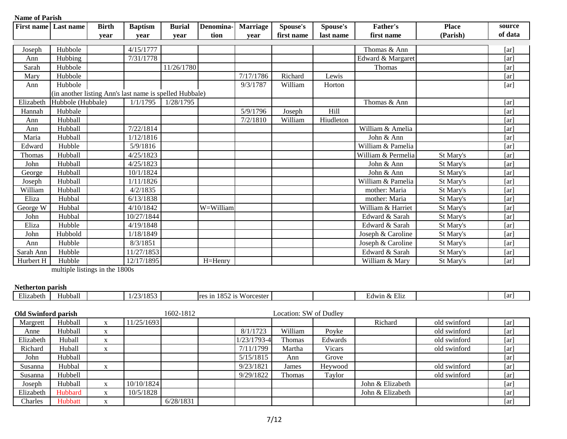| <b>Name of Parish</b>       |                   |              |                                                         |               |            |                 |            |           |                    |              |         |
|-----------------------------|-------------------|--------------|---------------------------------------------------------|---------------|------------|-----------------|------------|-----------|--------------------|--------------|---------|
| <b>First name</b> Last name |                   | <b>Birth</b> | <b>Baptism</b>                                          | <b>Burial</b> | Denomina-  | <b>Marriage</b> | Spouse's   | Spouse's  | <b>Father's</b>    | <b>Place</b> | source  |
|                             |                   | vear         | year                                                    | vear          | tion       | vear            | first name | last name | first name         | (Parish)     | of data |
|                             |                   |              |                                                         |               |            |                 |            |           |                    |              |         |
| Joseph                      | Hubbole           |              | 4/15/1777                                               |               |            |                 |            |           | Thomas & Ann       |              | [ar]    |
| Ann                         | Hubbing           |              | 7/31/1778                                               |               |            |                 |            |           | Edward & Margaret  |              | [ar]    |
| Sarah                       | Hubbole           |              |                                                         | 11/26/1780    |            |                 |            |           | Thomas             |              | [ar]    |
| Mary                        | Hubbole           |              |                                                         |               |            | 7/17/1786       | Richard    | Lewis     |                    |              | [ar]    |
| Ann                         | Hubbole           |              |                                                         |               |            | 9/3/1787        | William    | Horton    |                    |              | [ar]    |
|                             |                   |              | (in another listing Ann's last name is spelled Hubbale) |               |            |                 |            |           |                    |              |         |
| Elizabeth                   | Hubbole (Hubbale) |              | 1/1/1795                                                | 1/28/1795     |            |                 |            |           | Thomas & Ann       |              | [ar]    |
| Hannah                      | Hubbale           |              |                                                         |               |            | 5/9/1796        | Joseph     | Hill      |                    |              | [ar]    |
| Ann                         | Hubball           |              |                                                         |               |            | 7/2/1810        | William    | Hiudleton |                    |              | [ar]    |
| Ann                         | Hubball           |              | 7/22/1814                                               |               |            |                 |            |           | William & Amelia   |              | [ar]    |
| Maria                       | Hubball           |              | 1/12/1816                                               |               |            |                 |            |           | John & Ann         |              | [ar]    |
| Edward                      | Hubble            |              | 5/9/1816                                                |               |            |                 |            |           | William & Pamelia  |              | [ar]    |
| Thomas                      | Hubball           |              | 4/25/1823                                               |               |            |                 |            |           | William & Permelia | St Mary's    | [ar]    |
| John                        | Hubball           |              | 4/25/1823                                               |               |            |                 |            |           | John & Ann         | St Mary's    | [ar]    |
| George                      | Hubball           |              | 10/1/1824                                               |               |            |                 |            |           | John & Ann         | St Mary's    | [ar]    |
| Joseph                      | Hubball           |              | 1/11/1826                                               |               |            |                 |            |           | William & Pamelia  | St Mary's    | [ar]    |
| William                     | Hubball           |              | 4/2/1835                                                |               |            |                 |            |           | mother: Maria      | St Mary's    | [ar]    |
| Eliza                       | Hubbal            |              | 6/13/1838                                               |               |            |                 |            |           | mother: Maria      | St Mary's    | [ar]    |
| George W                    | Hubbal            |              | 4/10/1842                                               |               | W=William  |                 |            |           | William & Harriet  | St Mary's    | [ar]    |
| John                        | Hubbal            |              | 10/27/1844                                              |               |            |                 |            |           | Edward & Sarah     | St Mary's    | [ar]    |
| Eliza                       | Hubble            |              | 4/19/1848                                               |               |            |                 |            |           | Edward & Sarah     | St Mary's    | [ar]    |
| John                        | Hubbold           |              | 1/18/1849                                               |               |            |                 |            |           | Joseph & Caroline  | St Mary's    | [ar]    |
| Ann                         | Hubble            |              | 8/3/1851                                                |               |            |                 |            |           | Joseph & Caroline  | St Mary's    | [ar]    |
| Sarah Ann                   | Hubble            |              | 11/27/1853                                              |               |            |                 |            |           | Edward & Sarah     | St Mary's    | [ar]    |
| Hurbert H                   | Hubble            |              | 12/17/1895                                              |               | $H=$ Henry |                 |            |           | William & Mary     | St Mary's    | [ar]    |

multiple listings in the 1800s

#### **Netherton parish**

| $\sim$<br>Elizabeth | Hubball | $\overline{O}$<br>$\cdot$ 10<br>$\sim$ $\sim$ $\sim$<br>. . | $\mathbf{v}$<br>0E<br>$M$ orce<br>$\rightarrow$<br>≘t∆r<br>ra:<br><br>$\sim$<br>$\overline{\phantom{a}}$<br>., |  | $-$<br>H1T<br>$\sim$<br>A)<br>LOC LIIZ<br> | Tar i |
|---------------------|---------|-------------------------------------------------------------|----------------------------------------------------------------------------------------------------------------|--|--------------------------------------------|-------|
|                     |         |                                                             |                                                                                                                |  |                                            |       |

| <b>Old Swinford parish</b> |         |           |            | 1602-1812 |               | Location: SW of Dudley |               |                  |              |      |
|----------------------------|---------|-----------|------------|-----------|---------------|------------------------|---------------|------------------|--------------|------|
| Margrett                   | Hubball | $\Lambda$ | 11/25/1693 |           |               |                        |               | Richard          | old swinford | [ar] |
| Anne                       | Hubball | $\Lambda$ |            |           | 8/1/1723      | William                | Povke         |                  | old swinford | [ar] |
| Elizabeth                  | Huball  | $\Lambda$ |            |           | $1/23/1793-4$ | <b>Thomas</b>          | Edwards       |                  | old swinford | [ar] |
| Richard                    | Huball  | X         |            |           | 7/11/1799     | Martha                 | <b>Vicars</b> |                  | old swinford | [ar] |
| John                       | Hubball |           |            |           | 5/15/1815     | Ann                    | Grove         |                  |              | [ar] |
| Susanna                    | Hubbal  | A.        |            |           | 9/23/1821     | James                  | Heywood       |                  | old swinford | [ar] |
| Susanna                    | Hubbell |           |            |           | 9/29/1822     | <b>Thomas</b>          | Taylor        |                  | old swinford | [ar] |
| Joseph                     | Hubball |           | 10/10/1824 |           |               |                        |               | John & Elizabeth |              | [ar] |
| Elizabeth                  | Hubbard |           | 10/5/1828  |           |               |                        |               | John & Elizabeth |              | [ar] |
| Charles                    | Hubbatt | $\Lambda$ |            | 6/28/1831 |               |                        |               |                  |              | [ar] |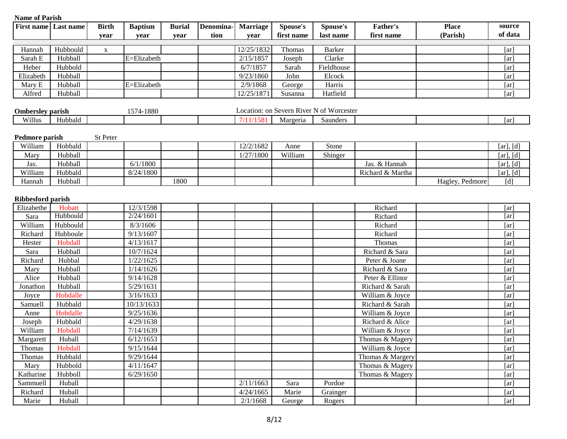| <b>Name of Parish</b>     |           |              |                         |               |           |                 |            |                                          |                  |                 |           |
|---------------------------|-----------|--------------|-------------------------|---------------|-----------|-----------------|------------|------------------------------------------|------------------|-----------------|-----------|
| <b>First name</b>         | Last name | <b>Birth</b> | <b>Baptism</b>          | <b>Burial</b> | Denomina- | <b>Marriage</b> | Spouse's   | Spouse's                                 | <b>Father's</b>  | <b>Place</b>    | source    |
|                           |           | year         | year                    | year          | tion      | year            | first name | last name                                | first name       | (Parish)        | of data   |
|                           |           |              |                         |               |           |                 |            |                                          |                  |                 |           |
| Hannah                    | Hubbould  | X            |                         |               |           | 12/25/1832      | Thomas     | <b>Barker</b>                            |                  |                 | [ar]      |
| Sarah E                   | Hubball   |              | E=Elizabeth             |               |           | 2/15/1857       | Joseph     | Clarke                                   |                  |                 | [ar]      |
| Heber                     | Hubbold   |              |                         |               |           | 6/7/1857        | Sarah      | Fieldhouse                               |                  |                 | [ar]      |
| Elizabeth                 | Hubball   |              |                         |               |           | 9/23/1860       | John       | Elcock                                   |                  |                 | [ar]      |
| Mary E                    | Hubball   |              | E=Elizabeth             |               |           | 2/9/1868        | George     | Harris                                   |                  |                 | [ar]      |
| Alfred                    | Hubball   |              |                         |               |           | 12/25/1871      | Susanna    | Hatfield                                 |                  |                 | [ar]      |
|                           |           |              |                         |               |           |                 |            | Location: on Severn River N of Worcester |                  |                 |           |
| <b>Ombersley parish</b>   |           |              | 1574-1880               |               |           |                 |            |                                          |                  |                 |           |
| Willus                    | Hubbald   |              |                         |               |           | 7/11/1581       | Margeria   | Saunders                                 |                  |                 | [ar]      |
|                           |           | St Peter     |                         |               |           |                 |            |                                          |                  |                 |           |
| Pedmore parish<br>William | Hobbald   |              |                         |               |           | 12/2/1682       | Anne       | Stone                                    |                  |                 | [ar], [d] |
|                           | Hubball   |              |                         |               |           | 1/27/1800       | William    |                                          |                  |                 |           |
| Mary                      | Hubball   |              | 6/1/1800                |               |           |                 |            | Shinger                                  | Jas. & Hannah    |                 | [ar], [d] |
| Jas.                      |           |              |                         |               |           |                 |            |                                          |                  |                 | [ar], [d] |
| William                   | Hubbald   |              | 8/24/1800               |               |           |                 |            |                                          | Richard & Martha |                 | [ar], [d] |
| Hannah                    | Hubball   |              |                         | 1800          |           |                 |            |                                          |                  | Hagley, Pedmore | [d]       |
| Ribbesford parish         |           |              |                         |               |           |                 |            |                                          |                  |                 |           |
| Elizabethe                | Hobatt    |              | 12/3/1598               |               |           |                 |            |                                          | Richard          |                 | [ar]      |
| Sara                      | Hubbould  |              | 2/24/1601               |               |           |                 |            |                                          | Richard          |                 | [ar]      |
| William                   | Hubbould  |              | 8/3/1606                |               |           |                 |            |                                          | Richard          |                 | [ar]      |
| Richard                   | Hubboule  |              | 9/13/1607               |               |           |                 |            |                                          | Richard          |                 | [ar]      |
| Hester                    | Hobdall   |              | 4/13/1617               |               |           |                 |            |                                          | Thomas           |                 | [ar]      |
| Sara                      | Hubball   |              | 10/7/1624               |               |           |                 |            |                                          | Richard & Sara   |                 | [ar]      |
| Richard                   | Hubbal    |              | 1/22/1625               |               |           |                 |            |                                          | Peter & Joane    |                 | [ar]      |
| Mary                      | Hubball   |              | 1/14/1626               |               |           |                 |            |                                          | Richard & Sara   |                 | [ar]      |
| Alice                     | Hubball   |              | 9/14/1628               |               |           |                 |            |                                          | Peter & Ellinor  |                 | [ar]      |
| Jonathon                  | Hubball   |              | 5/29/1631               |               |           |                 |            |                                          | Richard & Sarah  |                 | [ar]      |
|                           | Hobdalle  |              | 3/16/1633               |               |           |                 |            |                                          | William & Joyce  |                 |           |
| Joyce                     |           |              | $\overline{10}/13/1633$ |               |           |                 |            |                                          |                  |                 | [ar]      |
| Samuell                   | Hubbald   |              | 9/25/1636               |               |           |                 |            |                                          | Richard & Sarah  |                 | [ar]      |
| Anne                      | Hobdalle  |              |                         |               |           |                 |            |                                          | William & Joyce  |                 | [ar]      |
| Joseph                    | Hubbald   |              | 4/29/1638               |               |           |                 |            |                                          | Richard & Alice  |                 | [ar]      |
| William                   | Hobdall   |              | 7/14/1639               |               |           |                 |            |                                          | William & Joyce  |                 | [ar]      |
| Margarett                 | Huball    |              | 6/12/1653               |               |           |                 |            |                                          | Thomas & Magery  |                 | [ar]      |
| Thomas                    | Hobdall   |              | 9/15/1644               |               |           |                 |            |                                          | William & Joyce  |                 | [ar]      |
| Thomas                    | Hubbald   |              | 9/29/1644               |               |           |                 |            |                                          | Thomas & Margery |                 | [ar]      |
| Mary                      | Hubbold   |              | 4/11/1647               |               |           |                 |            |                                          | Thomas & Magery  |                 | [ar]      |
| Katharine                 | Hubboll   |              | 6/29/1650               |               |           |                 |            |                                          | Thomas & Magery  |                 | [ar]      |
| Sammuell                  | Huball    |              |                         |               |           | 2/11/1663       | Sara       | Pordoe                                   |                  |                 | [ar]      |
| Richard                   | Huball    |              |                         |               |           | 4/24/1665       | Marie      | Grainger                                 |                  |                 | [ar]      |
| Marie                     | Huball    |              |                         |               |           | 2/1/1668        | George     | Rogers                                   |                  |                 | [ar]      |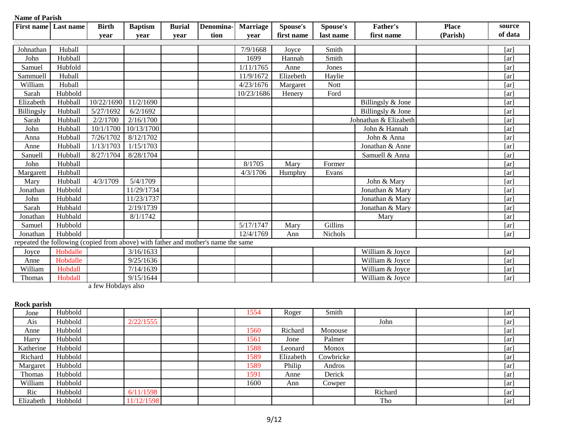| <b>Name of Parish</b> |           |              |                    |               |                                                                                   |                 |            |             |                       |              |                    |
|-----------------------|-----------|--------------|--------------------|---------------|-----------------------------------------------------------------------------------|-----------------|------------|-------------|-----------------------|--------------|--------------------|
| <b>First name</b>     | Last name | <b>Birth</b> | <b>Baptism</b>     | <b>Burial</b> | Denomina-                                                                         | <b>Marriage</b> | Spouse's   | Spouse's    | Father's              | <b>Place</b> | source             |
|                       |           | vear         | vear               | vear          | tion                                                                              | vear            | first name | last name   | first name            | (Parish)     | of data            |
|                       |           |              |                    |               |                                                                                   |                 |            |             |                       |              |                    |
| Johnathan             | Huball    |              |                    |               |                                                                                   | 7/9/1668        | Joyce      | Smith       |                       |              | [ar]               |
| John                  | Hubball   |              |                    |               |                                                                                   | 1699            | Hannah     | Smith       |                       |              | [ar]               |
| Samuel                | Hubfold   |              |                    |               |                                                                                   | 1/11/1765       | Anne       | Jones       |                       |              | [ar]               |
| Sammuell              | Huball    |              |                    |               |                                                                                   | 11/9/1672       | Elizebeth  | Haylie      |                       |              | [ar]               |
| William               | Huball    |              |                    |               |                                                                                   | 4/23/1676       | Margaret   | <b>Nott</b> |                       |              | [ar]               |
| Sarah                 | Hubbold   |              |                    |               |                                                                                   | 10/23/1686      | Henery     | Ford        |                       |              | [ar]               |
| Elizabeth             | Hubball   | 10/22/1690   | 11/2/1690          |               |                                                                                   |                 |            |             | Billingsly & Jone     |              | [ar]               |
| <b>Billingsly</b>     | Hubball   | 5/27/1692    | 6/2/1692           |               |                                                                                   |                 |            |             | Billingsly & Jone     |              | [ar]               |
| Sarah                 | Hubball   | 2/2/1700     | $\sqrt{2}/16/1700$ |               |                                                                                   |                 |            |             | Johnathan & Elizabeth |              | [ar]               |
| John                  | Hubball   | 10/1/1700    | 10/13/1700         |               |                                                                                   |                 |            |             | John & Hannah         |              | [ar]               |
| Anna                  | Hubball   | 7/26/1702    | 8/12/1702          |               |                                                                                   |                 |            |             | John & Anna           |              | [ar]               |
| Anne                  | Hubball   | 1/13/1703    | 1/15/1703          |               |                                                                                   |                 |            |             | Jonathan & Anne       |              | [ar]               |
| Sanuell               | Hubball   | 8/27/1704    | 8/28/1704          |               |                                                                                   |                 |            |             | Samuell & Anna        |              | [ar]               |
| John                  | Hubball   |              |                    |               |                                                                                   | 8/1705          | Mary       | Former      |                       |              | [ar]               |
| Margarett             | Hubball   |              |                    |               |                                                                                   | 4/3/1706        | Humphry    | Evans       |                       |              | [ar]               |
| Mary                  | Hubball   | 4/3/1709     | 5/4/1709           |               |                                                                                   |                 |            |             | John & Mary           |              | [ar]               |
| Jonathan              | Hubbold   |              | 11/29/1734         |               |                                                                                   |                 |            |             | Jonathan & Mary       |              | [ar]               |
| John                  | Hubbald   |              | 11/23/1737         |               |                                                                                   |                 |            |             | Jonathan & Mary       |              | [ar]               |
| Sarah                 | Hubbald   |              | 2/19/1739          |               |                                                                                   |                 |            |             | Jonathan & Mary       |              | [ar]               |
| Jonathan              | Hubbald   |              | 8/1/1742           |               |                                                                                   |                 |            |             | Mary                  |              | [ar]               |
| Samuel                | Hubbold   |              |                    |               |                                                                                   | 5/17/1747       | Mary       | Gillins     |                       |              | [ar]               |
| Jonathan              | Hubbold   |              |                    |               |                                                                                   | 12/4/1769       | Ann        | Nichols     |                       |              | $\lceil ar \rceil$ |
|                       |           |              |                    |               | repeated the following (copied from above) with father and mother's name the same |                 |            |             |                       |              |                    |
| Joyce                 | Hobdalle  |              | 3/16/1633          |               |                                                                                   |                 |            |             | William & Joyce       |              | [ar]               |
| Anne                  | Hobdalle  |              | 9/25/1636          |               |                                                                                   |                 |            |             | William & Joyce       |              | [ar]               |
| William               | Hobdall   |              | 7/14/1639          |               |                                                                                   |                 |            |             | William & Joyce       |              | [ar]               |
| Thomas                | Hobdall   |              | 9/15/1644          |               |                                                                                   |                 |            |             | William & Joyce       |              | [ar]               |

a few Hobdays also

| Rock parish   |         |            |      |           |           |         |      |
|---------------|---------|------------|------|-----------|-----------|---------|------|
| Jone          | Hubbold |            | 1554 | Roger     | Smith     |         | [ar] |
| Ais           | Hubbold | 2/22/1555  |      |           |           | John    | [ar] |
| Anne          | Hubbold |            | 1560 | Richard   | Monouse   |         | [ar] |
| Harry         | Hubbold |            | 1561 | Jone      | Palmer    |         | [ar] |
| Katherine     | Hubbold |            | 1588 | Leonard   | Monox     |         | [ar] |
| Richard       | Hubbold |            | 1589 | Elizabeth | Cowbricke |         | [ar] |
| Margaret      | Hubbold |            | 1589 | Philip    | Andros    |         | [ar] |
| <b>Thomas</b> | Hubbold |            | 1591 | Anne      | Derick    |         | [ar] |
| William       | Hubbold |            | 1600 | Ann       | Cowper    |         | [ar] |
| Ric           | Hubbold | 6/11/1598  |      |           |           | Richard | [ar] |
| Elizabeth     | Hobbold | 11/12/1598 |      |           |           | Tho     | [ar] |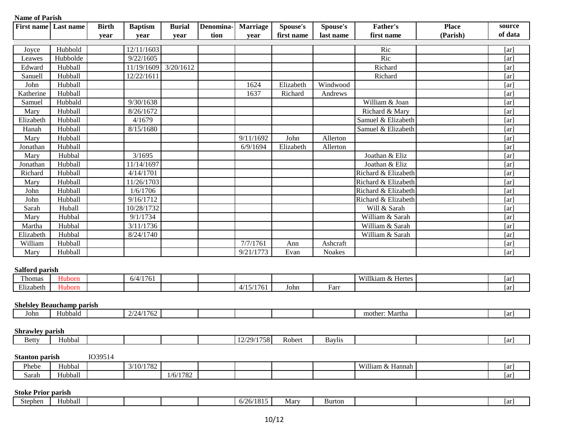| <b>First name</b>               | Last name                        | <b>Birth</b> | <b>Baptism</b>         | <b>Burial</b> | Denomina- | <b>Marriage</b> | Spouse's   | Spouse's      | <b>Father's</b>     | <b>Place</b> | source  |
|---------------------------------|----------------------------------|--------------|------------------------|---------------|-----------|-----------------|------------|---------------|---------------------|--------------|---------|
|                                 |                                  | year         | year                   | year          | tion      | year            | first name | last name     | first name          | (Parish)     | of data |
| Joyce                           | Hubbold                          |              | 12/11/1603             |               |           |                 |            |               | Ric                 |              | [ar]    |
| Leawes                          | Hubbolde                         |              | 9/22/1605              |               |           |                 |            |               | Ric                 |              | [ar]    |
| Edward                          | Hubball                          |              | 11/19/1609             | 3/20/1612     |           |                 |            |               | Richard             |              | [ar]    |
| Sanuell                         | Hubball                          |              | 12/22/161              |               |           |                 |            |               | Richard             |              | [ar]    |
| John                            | Hubball                          |              |                        |               |           | 1624            | Elizabeth  | Windwood      |                     |              | [ar]    |
| Katherine                       | Hubball                          |              |                        |               |           | 1637            | Richard    | Andrews       |                     |              | [ar]    |
| Samuel                          | Hubbald                          |              | 9/30/1638              |               |           |                 |            |               | William & Joan      |              | [ar]    |
| Mary                            | Hubball                          |              | 8/26/1672              |               |           |                 |            |               | Richard & Mary      |              | [ar]    |
| Elizabeth                       | Hubball                          |              | 4/1679                 |               |           |                 |            |               | Samuel & Elizabeth  |              | [ar]    |
| Hanah                           | Hubball                          |              | 8/15/1680              |               |           |                 |            |               | Samuel & Elizabeth  |              | [ar]    |
| Mary                            | Hubball                          |              |                        |               |           | 9/11/1692       | John       | Allerton      |                     |              | [ar]    |
| Jonathan                        | Hubball                          |              |                        |               |           | 6/9/1694        | Elizabeth  | Allerton      |                     |              | [ar]    |
| Mary                            | Hubbal                           |              | 3/1695                 |               |           |                 |            |               | Joathan & Eliz      |              | [ar]    |
| Jonathan                        | Hubball                          |              | 11/14/1697             |               |           |                 |            |               | Joathan & Eliz      |              | [ar]    |
| Richard                         | Hubball                          |              | 4/14/1701              |               |           |                 |            |               | Richard & Elizabeth |              | [ar]    |
| Mary                            | Hubball                          |              | 11/26/1703             |               |           |                 |            |               | Richard & Elizabeth |              | [ar]    |
| John                            | Hubball                          |              | 1/6/1706               |               |           |                 |            |               | Richard & Elizabeth |              | [ar]    |
| John                            | Hubball                          |              | 9/16/1712              |               |           |                 |            |               | Richard & Elizabeth |              | [ar]    |
| Sarah                           | Huball                           |              | 10/28/1732             |               |           |                 |            |               | Will & Sarah        |              | [ar]    |
| Mary                            | Hubbal                           |              | 9/1/1734               |               |           |                 |            |               | William & Sarah     |              | [ar]    |
| Martha                          | Hubbal                           |              | 3/11/1736              |               |           |                 |            |               | William & Sarah     |              | [ar]    |
| Elizabeth                       | Hubbal                           |              | 8/24/1740              |               |           |                 |            |               | William & Sarah     |              | [ar]    |
| William                         | Hubball                          |              |                        |               |           | 7/7/1761        | Ann        | Ashcraft      |                     |              | [ar]    |
| Mary                            | Hubball                          |              |                        |               |           | 9/21/1773       | Evan       | Noakes        |                     |              | [ar]    |
|                                 |                                  |              |                        |               |           |                 |            |               |                     |              |         |
| Salford parish<br>Thomas        | Huborn                           |              | 6/4/1761               |               |           |                 |            |               | Willkiam & Hertes   |              |         |
| Elizabeth                       | Huborn                           |              |                        |               |           | 4/15/1761       |            | Farr          |                     |              | [ar]    |
|                                 |                                  |              |                        |               |           |                 | John       |               |                     |              | [ar]    |
|                                 | <b>Shelsley Beauchamp parish</b> |              |                        |               |           |                 |            |               |                     |              |         |
| John                            | Hubbald                          |              | 2/24/1762              |               |           |                 |            |               | mother: Martha      |              | [ar]    |
|                                 |                                  |              |                        |               |           |                 |            |               |                     |              |         |
| <b>Shrawley parish</b><br>Betty | Hubbal                           |              |                        |               |           | 12/29/1758      | Robert     | <b>Baylis</b> |                     |              |         |
|                                 |                                  |              |                        |               |           |                 |            |               |                     |              | [ar]    |
| <b>Stanton parish</b>           |                                  | IO39514      |                        |               |           |                 |            |               |                     |              |         |
| Phebe                           | Hubbal                           |              | $3/\overline{10/1782}$ |               |           |                 |            |               | William & Hannah    |              | [ar]    |
| Sarah                           | Hubball                          |              |                        | 1/6/1782      |           |                 |            |               |                     |              | [ar]    |

| stephen<br>ບເບ | 11<br>Hubball |  |  | (10)<br>. .<br>$\overline{M}$<br>0/20/101 | Mary | Burton |  | Tar |
|----------------|---------------|--|--|-------------------------------------------|------|--------|--|-----|
|                |               |  |  |                                           |      |        |  |     |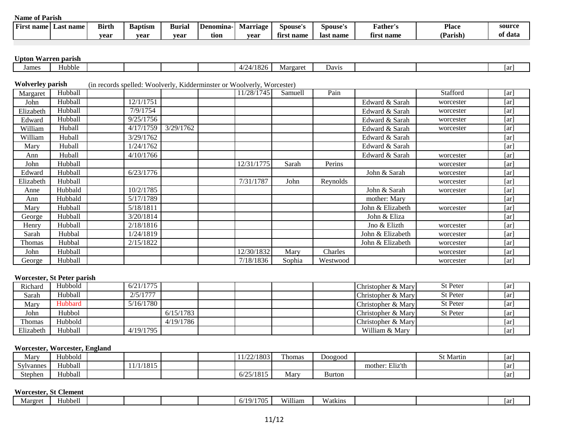| ⊷<br>name<br>Fırst | name<br>⊥ast ∶ | <b>Birth</b> | $\overline{\phantom{a}}$<br>Baptism | <b>Burial</b> | <b>Denomina</b> | rnage -<br>Mai | Spouse's    | Spouse's  | rather"      | <b>Place</b> | source       |
|--------------------|----------------|--------------|-------------------------------------|---------------|-----------------|----------------|-------------|-----------|--------------|--------------|--------------|
|                    |                | vear         | vear                                | vear          | tion            | vear           | name<br>tır | last name | name<br>tırs | Parish,      | : data<br>OГ |

# **Upton Warren parish**

| Jame: | fubble |  |  | . | Margaret | Dav <sub>1</sub> s |  | 1ar |
|-------|--------|--|--|---|----------|--------------------|--|-----|
|       |        |  |  |   |          |                    |  |     |

# **Wolverley parish** (in records spelled: Woolverly, Kidderminster or Woolverly, Worcester)

| Margaret  | Hubball |           |           | 11/28/1745 | Samuell | Pain     |                  | Stafford  | [ar]               |
|-----------|---------|-----------|-----------|------------|---------|----------|------------------|-----------|--------------------|
| John      | Hubball | 12/1/1751 |           |            |         |          | Edward & Sarah   | worcester | [ar]               |
| Elizabeth | Hubball | 7/9/1754  |           |            |         |          | Edward & Sarah   | worcester | [ar]               |
| Edward    | Hubball | 9/25/1756 |           |            |         |          | Edward & Sarah   | worcester | [ar]               |
| William   | Huball  | 4/17/1759 | 3/29/1762 |            |         |          | Edward & Sarah   | worcester | $\lceil ar \rceil$ |
| William   | Huball  | 3/29/1762 |           |            |         |          | Edward & Sarah   |           | [ar]               |
| Mary      | Huball  | 1/24/1762 |           |            |         |          | Edward & Sarah   |           | [ar]               |
| Ann       | Huball  | 4/10/1766 |           |            |         |          | Edward & Sarah   | worcester | [ar]               |
| John      | Hubball |           |           | 12/31/1775 | Sarah   | Perins   |                  | worcester | [ar]               |
| Edward    | Hubball | 6/23/1776 |           |            |         |          | John & Sarah     | worcester | [ar]               |
| Elizabeth | Hubball |           |           | 7/31/1787  | John    | Reynolds |                  | worcester | [ar]               |
| Anne      | Hubbald | 10/2/1785 |           |            |         |          | John & Sarah     | worcester | [ar]               |
| Ann       | Hubbald | 5/17/1789 |           |            |         |          | mother: Mary     |           | [ar]               |
| Mary      | Hubball | 5/18/1811 |           |            |         |          | John & Elizabeth | worcester | $\lceil ar \rceil$ |
| George    | Hubball | 3/20/1814 |           |            |         |          | John & Eliza     |           | [ar]               |
| Henry     | Hubball | 2/18/1816 |           |            |         |          | Jno & Elizth     | worcester | [ar]               |
| Sarah     | Hubbal  | 1/24/1819 |           |            |         |          | John & Elizabeth | worcester | [ar]               |
| Thomas    | Hubbal  | 2/15/1822 |           |            |         |          | John & Elizabeth | worcester | [ar]               |
| John      | Hubball |           |           | 12/30/1832 | Mary    | Charles  |                  | worcester | [ar]               |
| George    | Hubball |           |           | 7/18/1836  | Sophia  | Westwood |                  | worcester | [ar]               |

#### **Worcester, St Peter parish**

| Richard   | Hubbold | 6/21/1775 |           |  |  | Christopher & Mary | <b>St Peter</b> | [ar] |
|-----------|---------|-----------|-----------|--|--|--------------------|-----------------|------|
| Sarah     | Hubball | 2/5/1777  |           |  |  | Christopher & Mary | St Peter        | [ar] |
| Mary      | Hubbard | 5/16/1780 |           |  |  | Christopher & Mary | St Peter        | [ar] |
| John      | Hubbol  |           | 6/15/1783 |  |  | Christopher & Mary | <b>St Peter</b> | [ar] |
| Thomas    | Hubbold |           | 4/19/1786 |  |  | Christopher & Mary |                 | [ar] |
| Elizabeth | Hubball | 4/19/1795 |           |  |  | William & Mary     |                 | [ar] |

# **Worcester, Worcester, England**

| Mary      | <b>TT 11 11</b><br>Hubbold |           |  | 1/22/1803       | T <sub>1</sub><br>l homas | Doogood       |                 | <b>St Martin</b> | ar  |
|-----------|----------------------------|-----------|--|-----------------|---------------------------|---------------|-----------------|------------------|-----|
| Sylvannes | Hubball                    | 11/1/1815 |  |                 |                           |               | mother: Eliz'th |                  | 1ar |
| Stephen   | Hubball                    |           |  | 5/25/1815<br>h/ | Mary                      | <b>Burton</b> |                 |                  | 1ar |

#### **Worcester, St Clement**

| Margret | <b>Iubbell</b> |  |  | . .<br>10.7<br>$\neg$<br>-<br>$\cdot$ JJ | William | v v<br>Watkins |  | Tar |
|---------|----------------|--|--|------------------------------------------|---------|----------------|--|-----|